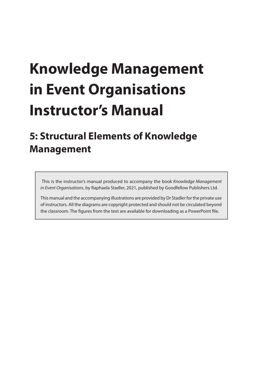# **Knowledge Management in Event Organisations Instructor's Manual**

# **5: Structural Elements of Knowledge Management**

 This is the instructor's manual produced to accompany the book *Knowledge Management in Event Organisations*, by Raphaela Stadler, 2021, published by Goodfellow Publishers Ltd.

This manual and the accompanying illustrations are provided by Dr Stadler for the private use of instructors. All the diagrams are copyright protected and should not be circulated beyond the classroom. The figures from the text are available for downloading as a PowerPoint file.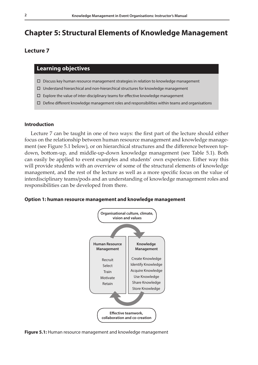# **Chapter 5: Structural Elements of Knowledge Management**

# **Lecture 7**

# **Learning objectives**

- $\Box$  Discuss key human resource management strategies in relation to knowledge management
- $\Box$  Understand hierarchical and non-hierarchical structures for knowledge management
- $\square$  Explore the value of inter-disciplinary teams for effective knowledge management
- $\Box$  Define different knowledge management roles and responsibilities within teams and organisations

### **Introduction**

Lecture 7 can be taught in one of two ways: the first part of the lecture should either focus on the relationship between human resource management and knowledge management (see Figure 5.1 below), or on hierarchical structures and the difference between topdown, bottom-up, and middle-up-down knowledge management (see Table 5.1). Both can easily be applied to event examples and students' own experience. Either way this will provide students with an overview of some of the structural elements of knowledge management, and the rest of the lecture as well as a more specific focus on the value of interdisciplinary teams/pods and an understanding of knowledge management roles and responsibilities can be developed from there.





**Figure 5.1:** Human resource management and knowledge management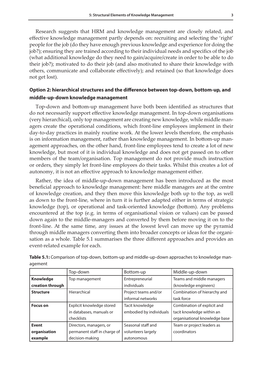Research suggests that HRM and knowledge management are closely related, and effective knowledge management partly depends on: recruiting and selecting the 'right' people for the job (do they have enough previous knowledge and experience for doing the job?); ensuring they are trained according to their individual needs and specifics of the job (what additional knowledge do they need to gain/acquire/create in order to be able to do their job?); motivated to do their job (and also motivated to share their knowledge with others, communicate and collaborate effectively); and retained (so that knowledge does not get lost).

# **Option 2: hierarchical structures and the difference between top-down, bottom-up, and middle-up-down knowledge management**

Top-down and bottom-up management have both been identified as structures that do not necessarily support effective knowledge management. In top-down organisations (very hierarchical), only top management are creating new knowledge, while middle managers create the operational conditions, which front-line employees implement in their day-to-day practices in mainly routine work. At the lower levels therefore, the emphasis is on information management, rather than knowledge management. In bottom-up management approaches, on the other hand, front-line employees tend to create a lot of new knowledge, but most of it is individual knowledge and does not get passed on to other members of the team/organisation. Top management do not provide much instruction or orders, they simply let front-line employees do their tasks. Whilst this creates a lot of autonomy, it is not an effective approach to knowledge management either.

Rather, the idea of middle-up-down management has been introduced as the most beneficial approach to knowledge management: here middle managers are at the centre of knowledge creation, and they then move this knowledge both up to the top, as well as down to the front-line, where in turn it is further adapted either in terms of strategic knowledge (top), or operational and task-oriented knowledge (bottom). Any problems encountered at the top (e.g. in terms of organisational vision or values) can be passed down again to the middle-managers and converted by them before moving it on to the front-line. At the same time, any issues at the lowest level can move up the pyramid through middle managers converting them into broader concepts or ideas for the organisation as a whole. Table 5.1 summarises the three different approaches and provides an event-related example for each.

|                  | Top-down                     | Bottom-up               | Middle-up-down                |
|------------------|------------------------------|-------------------------|-------------------------------|
| Knowledge        | Top management               | Entrepreneurial         | Teams and middle managers     |
| creation through |                              | individuals             | (knowledge engineers)         |
| <b>Structure</b> | Hierarchical                 | Project teams and/or    | Combination of hierarchy and  |
|                  |                              | informal networks       | task force                    |
| <b>Focus on</b>  | Explicit knowledge stored    | Tacit knowledge         | Combination of explicit and   |
|                  | in databases, manuals or     | embodied by individuals | tacit knowledge within an     |
|                  | checklists                   |                         | organisational knowledge base |
| <b>Event</b>     | Directors, managers, or      | Seasonal staff and      | Team or project leaders as    |
| organisation     | permanent staff in charge of | volunteers largely      | coordinators                  |
| example          | decision-making              | autonomous              |                               |

**Table 5.1:** Comparison of top-down, bottom-up and middle-up-down approaches to knowledge management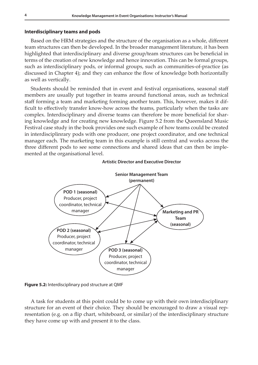### **Interdisciplinary teams and pods**

Based on the HRM strategies and the structure of the organisation as a whole, different team structures can then be developed. In the broader management literature, it has been highlighted that interdisciplinary and diverse group/team structures can be beneficial in terms of the creation of new knowledge and hence innovation. This can be formal groups, such as interdisciplinary pods, or informal groups, such as communities-of-practice (as discussed in Chapter 4); and they can enhance the flow of knowledge both horizontally as well as vertically.

Students should be reminded that in event and festival organisations, seasonal staff members are usually put together in teams around functional areas, such as technical staff forming a team and marketing forming another team. This, however, makes it difficult to effectively transfer know-how across the teams, particularly when the tasks are complex. Interdisciplinary and diverse teams can therefore be more beneficial for sharing knowledge and for creating new knowledge. Figure 5.2 from the Queensland Music Festival case study in the book provides one such example of how teams could be created **1: Introduction, Concepts and Definitions 105** in interdisciplinrary pods with one producer, one project coordinator, and one technical manager each. The marketing team in this example is still central and works across the three different pods to see some connections and shared ideas that can then be implemented at the organisational level.



#### **Artistic Director and Executive Director**

**Figure 5.2:** Interdisciplinary pod structure at QMF

A task for students at this point could be to come up with their own interdisciplinary structure for an event of their choice. They should be encouraged to draw a visual representation (e.g. on a flip chart, whiteboard, or similar) of the interdisciplinary structure they have come up with and present it to the class.